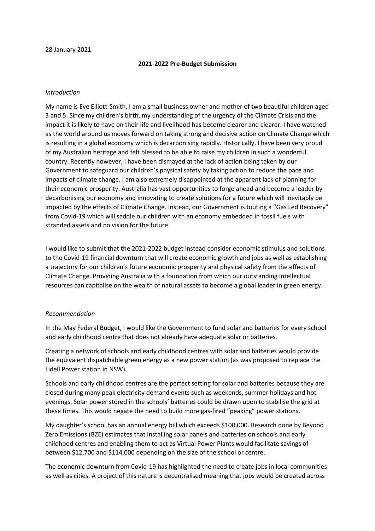## 28 January 2021

## **2021-2022 Pre-Budget Submission**

## *Introduction*

My name is Eve Elliott-Smith, I am a small business owner and mother of two beautiful children aged 3 and 5. Since my children's birth, my understanding of the urgency of the Climate Crisis and the impact it is likely to have on their life and livelihood has become clearer and clearer. I have watched as the world around us moves forward on taking strong and decisive action on Climate Change which is resulting in a global economy which is decarbonising rapidly. Historically, I have been very proud of my Australian heritage and felt blessed to be able to raise my children in such a wonderful country. Recently however, I have been dismayed at the lack of action being taken by our Government to safeguard our children's physical safety by taking action to reduce the pace and impacts of climate change. I am also extremely disappointed at the apparent lack of planning for their economic prosperity. Australia has vast opportunities to forge ahead and become a leader by decarbonising our economy and innovating to create solutions for a future which will inevitably be impacted by the effects of Climate Change. Instead, our Government is touting a "Gas Led Recovery" from Covid-19 which will saddle our children with an economy embedded in fossil fuels with stranded assets and no vision for the future.

I would like to submit that the 2021-2022 budget instead consider economic stimulus and solutions to the Covid-19 financial downturn that will create economic growth and jobs as well as establishing a trajectory for our children's future economic prosperity and physical safety from the effects of Climate Change. Providing Australia with a foundation from which our outstanding intellectual resources can capitalise on the wealth of natural assets to become a global leader in green energy.

## *Recommendation*

In the May Federal Budget, I would like the Government to fund solar and batteries for every school and early childhood centre that does not already have adequate solar or batteries.

Creating a network of schools and early childhood centres with solar and batteries would provide the equivalent dispatchable green energy as a new power station (as was proposed to replace the Lidell Power station in NSW).

Schools and early childhood centres are the perfect setting for solar and batteries because they are closed during many peak electricity demand events such as weekends, summer holidays and hot evenings. Solar power stored in the schools' batteries could be drawn upon to stabilise the grid at these times. This would negate the need to build more gas-fired "peaking" power stations.

My daughter's school has an annual energy bill which exceeds \$100,000. Research done by Beyond Zero Emissions (BZE) estimates that installing solar panels and batteries on schools and early childhood centres and enabling them to act as Virtual Power Plants would facilitate savings of between \$12,700 and \$114,000 depending on the size of the school or centre.

The economic downturn from Covid-19 has highlighted the need to create jobs in local communities as well as cities. A project of this nature is decentralised meaning that jobs would be created across